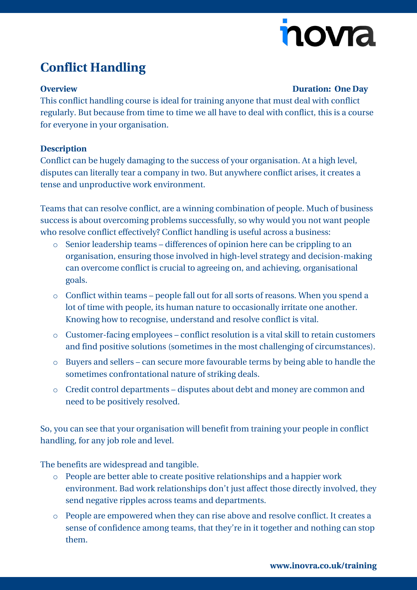# novia

### **Conflict Handling**

#### **Overview Duration: One Day**

This conflict handling course is ideal for training anyone that must deal with conflict regularly. But because from time to time we all have to deal with conflict, this is a course for everyone in your organisation.

### **Description**

Conflict can be hugely damaging to the success of your organisation. At a high level, disputes can literally tear a company in two. But anywhere conflict arises, it creates a tense and unproductive work environment.

Teams that can resolve conflict, are a winning combination of people. Much of business success is about overcoming problems successfully, so why would you not want people who resolve conflict effectively? Conflict handling is useful across a business:

- o Senior leadership teams differences of opinion here can be crippling to an organisation, ensuring those involved in high-level strategy and decision-making can overcome conflict is crucial to agreeing on, and achieving, organisational goals.
- o Conflict within teams people fall out for all sorts of reasons. When you spend a lot of time with people, its human nature to occasionally irritate one another. Knowing how to recognise, understand and resolve conflict is vital.
- o Customer-facing employees conflict resolution is a vital skill to retain customers and find positive solutions (sometimes in the most challenging of circumstances).
- o Buyers and sellers can secure more favourable terms by being able to handle the sometimes confrontational nature of striking deals.
- o Credit control departments disputes about debt and money are common and need to be positively resolved.

So, you can see that your organisation will benefit from training your people in conflict handling, for any job role and level.

The benefits are widespread and tangible.

- o People are better able to create positive relationships and a happier work environment. Bad work relationships don't just affect those directly involved, they send negative ripples across teams and departments.
- o People are empowered when they can rise above and resolve conflict. It creates a sense of confidence among teams, that they're in it together and nothing can stop them.